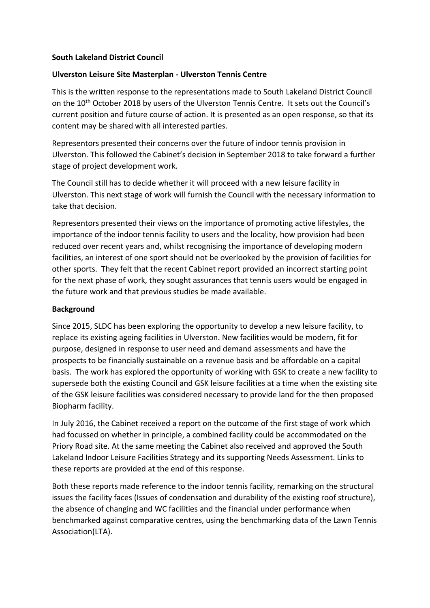## **South Lakeland District Council**

## **Ulverston Leisure Site Masterplan - Ulverston Tennis Centre**

This is the written response to the representations made to South Lakeland District Council on the 10<sup>th</sup> October 2018 by users of the Ulverston Tennis Centre. It sets out the Council's current position and future course of action. It is presented as an open response, so that its content may be shared with all interested parties.

Representors presented their concerns over the future of indoor tennis provision in Ulverston. This followed the Cabinet's decision in September 2018 to take forward a further stage of project development work.

The Council still has to decide whether it will proceed with a new leisure facility in Ulverston. This next stage of work will furnish the Council with the necessary information to take that decision.

Representors presented their views on the importance of promoting active lifestyles, the importance of the indoor tennis facility to users and the locality, how provision had been reduced over recent years and, whilst recognising the importance of developing modern facilities, an interest of one sport should not be overlooked by the provision of facilities for other sports. They felt that the recent Cabinet report provided an incorrect starting point for the next phase of work, they sought assurances that tennis users would be engaged in the future work and that previous studies be made available.

#### **Background**

Since 2015, SLDC has been exploring the opportunity to develop a new leisure facility, to replace its existing ageing facilities in Ulverston. New facilities would be modern, fit for purpose, designed in response to user need and demand assessments and have the prospects to be financially sustainable on a revenue basis and be affordable on a capital basis. The work has explored the opportunity of working with GSK to create a new facility to supersede both the existing Council and GSK leisure facilities at a time when the existing site of the GSK leisure facilities was considered necessary to provide land for the then proposed Biopharm facility.

In July 2016, the Cabinet received a report on the outcome of the first stage of work which had focussed on whether in principle, a combined facility could be accommodated on the Priory Road site. At the same meeting the Cabinet also received and approved the South Lakeland Indoor Leisure Facilities Strategy and its supporting Needs Assessment. Links to these reports are provided at the end of this response.

Both these reports made reference to the indoor tennis facility, remarking on the structural issues the facility faces (Issues of condensation and durability of the existing roof structure), the absence of changing and WC facilities and the financial under performance when benchmarked against comparative centres, using the benchmarking data of the Lawn Tennis Association(LTA).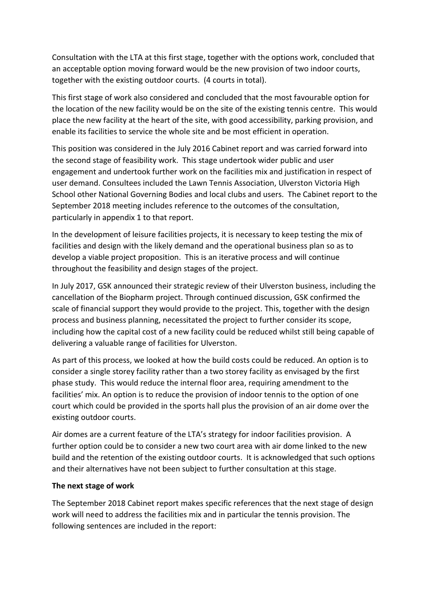Consultation with the LTA at this first stage, together with the options work, concluded that an acceptable option moving forward would be the new provision of two indoor courts, together with the existing outdoor courts. (4 courts in total).

This first stage of work also considered and concluded that the most favourable option for the location of the new facility would be on the site of the existing tennis centre. This would place the new facility at the heart of the site, with good accessibility, parking provision, and enable its facilities to service the whole site and be most efficient in operation.

This position was considered in the July 2016 Cabinet report and was carried forward into the second stage of feasibility work. This stage undertook wider public and user engagement and undertook further work on the facilities mix and justification in respect of user demand. Consultees included the Lawn Tennis Association, Ulverston Victoria High School other National Governing Bodies and local clubs and users. The Cabinet report to the September 2018 meeting includes reference to the outcomes of the consultation, particularly in appendix 1 to that report.

In the development of leisure facilities projects, it is necessary to keep testing the mix of facilities and design with the likely demand and the operational business plan so as to develop a viable project proposition. This is an iterative process and will continue throughout the feasibility and design stages of the project.

In July 2017, GSK announced their strategic review of their Ulverston business, including the cancellation of the Biopharm project. Through continued discussion, GSK confirmed the scale of financial support they would provide to the project. This, together with the design process and business planning, necessitated the project to further consider its scope, including how the capital cost of a new facility could be reduced whilst still being capable of delivering a valuable range of facilities for Ulverston.

As part of this process, we looked at how the build costs could be reduced. An option is to consider a single storey facility rather than a two storey facility as envisaged by the first phase study. This would reduce the internal floor area, requiring amendment to the facilities' mix. An option is to reduce the provision of indoor tennis to the option of one court which could be provided in the sports hall plus the provision of an air dome over the existing outdoor courts.

Air domes are a current feature of the LTA's strategy for indoor facilities provision. A further option could be to consider a new two court area with air dome linked to the new build and the retention of the existing outdoor courts. It is acknowledged that such options and their alternatives have not been subject to further consultation at this stage.

# **The next stage of work**

The September 2018 Cabinet report makes specific references that the next stage of design work will need to address the facilities mix and in particular the tennis provision. The following sentences are included in the report: